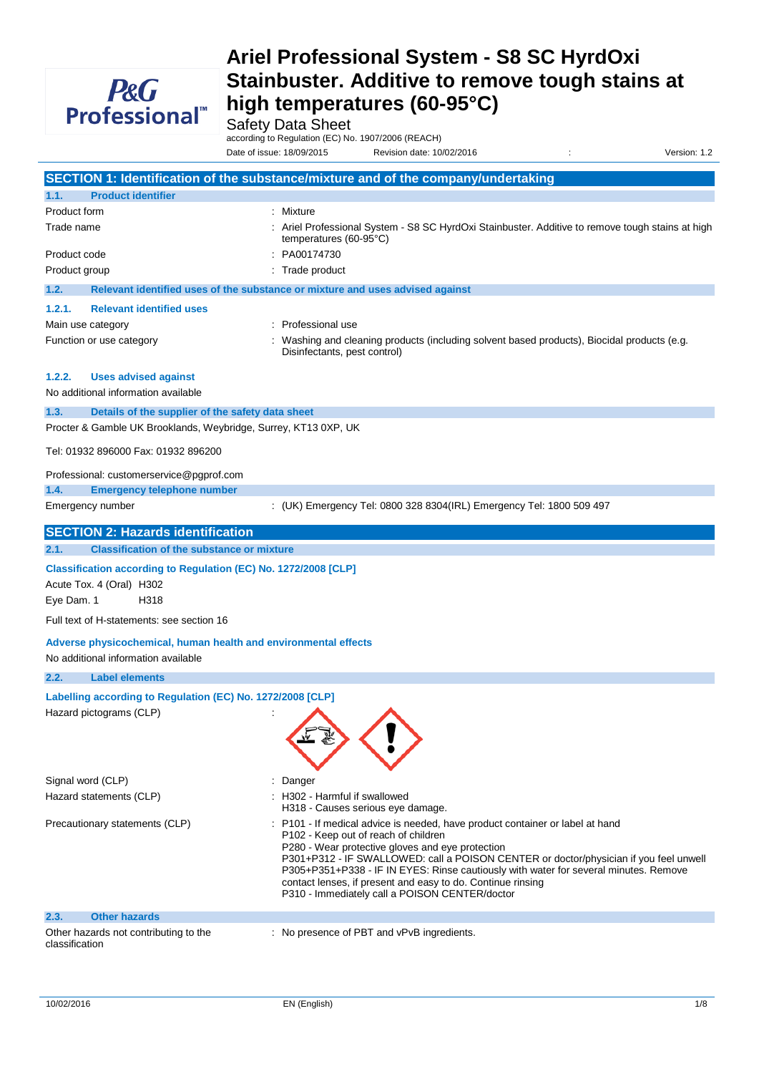

Safety Data Sheet

according to Regulation (EC) No. 1907/2006 (REACH) Date of issue: 18/09/2015 Revision date: 10/02/2016 : Version: 1.2

|                                                                                                                             | SECTION 1: Identification of the substance/mixture and of the company/undertaking                                                                                                                                                                                                                                                                                                                                                                                           |
|-----------------------------------------------------------------------------------------------------------------------------|-----------------------------------------------------------------------------------------------------------------------------------------------------------------------------------------------------------------------------------------------------------------------------------------------------------------------------------------------------------------------------------------------------------------------------------------------------------------------------|
| <b>Product identifier</b><br>1.1.                                                                                           |                                                                                                                                                                                                                                                                                                                                                                                                                                                                             |
| Product form                                                                                                                | : Mixture                                                                                                                                                                                                                                                                                                                                                                                                                                                                   |
| Trade name                                                                                                                  | : Ariel Professional System - S8 SC HyrdOxi Stainbuster. Additive to remove tough stains at high<br>temperatures $(60-95^{\circ}C)$                                                                                                                                                                                                                                                                                                                                         |
| Product code                                                                                                                | PA00174730                                                                                                                                                                                                                                                                                                                                                                                                                                                                  |
| Product group                                                                                                               | : Trade product                                                                                                                                                                                                                                                                                                                                                                                                                                                             |
| 1.2.                                                                                                                        | Relevant identified uses of the substance or mixture and uses advised against                                                                                                                                                                                                                                                                                                                                                                                               |
| 1.2.1.<br><b>Relevant identified uses</b>                                                                                   |                                                                                                                                                                                                                                                                                                                                                                                                                                                                             |
| Main use category                                                                                                           | Professional use                                                                                                                                                                                                                                                                                                                                                                                                                                                            |
| Function or use category                                                                                                    | Washing and cleaning products (including solvent based products), Biocidal products (e.g.<br>Disinfectants, pest control)                                                                                                                                                                                                                                                                                                                                                   |
| <b>Uses advised against</b><br>1.2.2.                                                                                       |                                                                                                                                                                                                                                                                                                                                                                                                                                                                             |
| No additional information available                                                                                         |                                                                                                                                                                                                                                                                                                                                                                                                                                                                             |
| 1.3.<br>Details of the supplier of the safety data sheet<br>Procter & Gamble UK Brooklands, Weybridge, Surrey, KT13 0XP, UK |                                                                                                                                                                                                                                                                                                                                                                                                                                                                             |
| Tel: 01932 896000 Fax: 01932 896200                                                                                         |                                                                                                                                                                                                                                                                                                                                                                                                                                                                             |
| Professional: customerservice@pgprof.com                                                                                    |                                                                                                                                                                                                                                                                                                                                                                                                                                                                             |
| 1.4.<br><b>Emergency telephone number</b><br>Emergency number                                                               | : (UK) Emergency Tel: 0800 328 8304(IRL) Emergency Tel: 1800 509 497                                                                                                                                                                                                                                                                                                                                                                                                        |
|                                                                                                                             |                                                                                                                                                                                                                                                                                                                                                                                                                                                                             |
| <b>SECTION 2: Hazards identification</b>                                                                                    |                                                                                                                                                                                                                                                                                                                                                                                                                                                                             |
| 2.1.<br><b>Classification of the substance or mixture</b>                                                                   |                                                                                                                                                                                                                                                                                                                                                                                                                                                                             |
| Classification according to Regulation (EC) No. 1272/2008 [CLP]                                                             |                                                                                                                                                                                                                                                                                                                                                                                                                                                                             |
| Acute Tox. 4 (Oral) H302                                                                                                    |                                                                                                                                                                                                                                                                                                                                                                                                                                                                             |
| H318<br>Eye Dam. 1                                                                                                          |                                                                                                                                                                                                                                                                                                                                                                                                                                                                             |
| Full text of H-statements: see section 16                                                                                   |                                                                                                                                                                                                                                                                                                                                                                                                                                                                             |
| Adverse physicochemical, human health and environmental effects<br>No additional information available                      |                                                                                                                                                                                                                                                                                                                                                                                                                                                                             |
| 2.2.<br><b>Label elements</b>                                                                                               |                                                                                                                                                                                                                                                                                                                                                                                                                                                                             |
| Labelling according to Regulation (EC) No. 1272/2008 [CLP]                                                                  |                                                                                                                                                                                                                                                                                                                                                                                                                                                                             |
| Hazard pictograms (CLP)                                                                                                     |                                                                                                                                                                                                                                                                                                                                                                                                                                                                             |
| Signal word (CLP)                                                                                                           | Danger                                                                                                                                                                                                                                                                                                                                                                                                                                                                      |
| Hazard statements (CLP)                                                                                                     | : H302 - Harmful if swallowed<br>H318 - Causes serious eye damage.                                                                                                                                                                                                                                                                                                                                                                                                          |
| Precautionary statements (CLP)                                                                                              | : P101 - If medical advice is needed, have product container or label at hand<br>P102 - Keep out of reach of children<br>P280 - Wear protective gloves and eye protection<br>P301+P312 - IF SWALLOWED: call a POISON CENTER or doctor/physician if you feel unwell<br>P305+P351+P338 - IF IN EYES: Rinse cautiously with water for several minutes. Remove<br>contact lenses, if present and easy to do. Continue rinsing<br>P310 - Immediately call a POISON CENTER/doctor |
| <b>Other hazards</b><br>2.3.                                                                                                |                                                                                                                                                                                                                                                                                                                                                                                                                                                                             |
| Other hazards not contributing to the<br>classification                                                                     | : No presence of PBT and vPvB ingredients.                                                                                                                                                                                                                                                                                                                                                                                                                                  |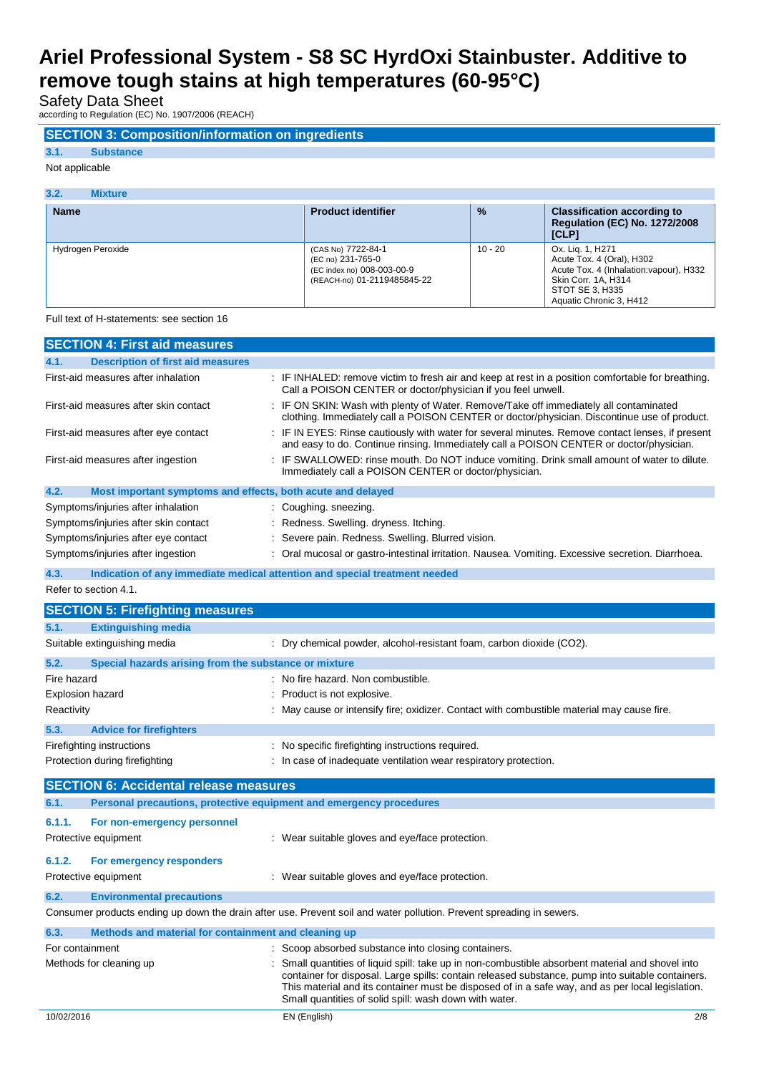Safety Data Sheet

according to Regulation (EC) No. 1907/2006 (REACH)

## **SECTION 3: Composition/information on ingredients**

## **3.1. Substance**

Not applicable

| 3.2.<br><b>Mixture</b> |                                                                                                      |               |                                                                                                                                                               |
|------------------------|------------------------------------------------------------------------------------------------------|---------------|---------------------------------------------------------------------------------------------------------------------------------------------------------------|
| <b>Name</b>            | <b>Product identifier</b>                                                                            | $\frac{9}{6}$ | <b>Classification according to</b><br><b>Regulation (EC) No. 1272/2008</b><br>[CLP]                                                                           |
| Hydrogen Peroxide      | (CAS No) 7722-84-1<br>(EC no) 231-765-0<br>(EC index no) 008-003-00-9<br>(REACH-no) 01-2119485845-22 | $10 - 20$     | Ox. Lig. 1, H271<br>Acute Tox. 4 (Oral), H302<br>Acute Tox. 4 (Inhalation: vapour), H332<br>Skin Corr. 1A, H314<br>STOT SE 3. H335<br>Aquatic Chronic 3, H412 |

Full text of H-statements: see section 16

| <b>SECTION 4: First aid measures</b>                                |                                                                                                                                                                                             |
|---------------------------------------------------------------------|---------------------------------------------------------------------------------------------------------------------------------------------------------------------------------------------|
| <b>Description of first aid measures</b><br>4.1.                    |                                                                                                                                                                                             |
| First-aid measures after inhalation                                 | : IF INHALED: remove victim to fresh air and keep at rest in a position comfortable for breathing.<br>Call a POISON CENTER or doctor/physician if you feel unwell.                          |
| First-aid measures after skin contact                               | : IF ON SKIN: Wash with plenty of Water. Remove/Take off immediately all contaminated<br>clothing. Immediately call a POISON CENTER or doctor/physician. Discontinue use of product.        |
| First-aid measures after eye contact                                | : IF IN EYES: Rinse cautiously with water for several minutes. Remove contact lenses, if present<br>and easy to do. Continue rinsing. Immediately call a POISON CENTER or doctor/physician. |
| First-aid measures after ingestion                                  | : IF SWALLOWED: rinse mouth. Do NOT induce vomiting. Drink small amount of water to dilute.<br>Immediately call a POISON CENTER or doctor/physician.                                        |
| Most important symptoms and effects, both acute and delayed<br>4.2. |                                                                                                                                                                                             |
| Symptoms/injuries after inhalation                                  | : Coughing. sneezing.                                                                                                                                                                       |
| Symptoms/injuries after skin contact                                | : Redness. Swelling. dryness. Itching.                                                                                                                                                      |
| Symptoms/injuries after eye contact                                 | Severe pain. Redness. Swelling. Blurred vision.                                                                                                                                             |
| Symptoms/injuries after ingestion                                   | : Oral mucosal or gastro-intestinal irritation. Nausea. Vomiting. Excessive secretion. Diarrhoea.                                                                                           |
| 4.3.                                                                | Indication of any immediate medical attention and special treatment needed                                                                                                                  |
| Refer to section 4.1.                                               |                                                                                                                                                                                             |
| <b>SECTION 5: Firefighting measures</b>                             |                                                                                                                                                                                             |
| 5.1.<br><b>Extinguishing media</b>                                  |                                                                                                                                                                                             |
| Suitable extinguishing media                                        | : Dry chemical powder, alcohol-resistant foam, carbon dioxide (CO2).                                                                                                                        |
| 5.2.<br>Special hazards arising from the substance or mixture       |                                                                                                                                                                                             |
| Fire hazard                                                         | No fire hazard. Non combustible.                                                                                                                                                            |
| Explosion hazard                                                    | Product is not explosive.                                                                                                                                                                   |
| Reactivity                                                          | May cause or intensify fire; oxidizer. Contact with combustible material may cause fire.                                                                                                    |
| 5.3.<br><b>Advice for firefighters</b>                              |                                                                                                                                                                                             |
| Firefighting instructions                                           | : No specific firefighting instructions required.                                                                                                                                           |
| Protection during firefighting                                      | : In case of inadequate ventilation wear respiratory protection.                                                                                                                            |
| <b>SECTION 6: Accidental release measures</b>                       |                                                                                                                                                                                             |
| 6.1.                                                                | Personal precautions, protective equipment and emergency procedures                                                                                                                         |
| 6.1.1.<br>For non-emergency personnel                               |                                                                                                                                                                                             |
| Protective equipment                                                | : Wear suitable gloves and eye/face protection.                                                                                                                                             |

#### **6.1.2. For emergency responders**

| 6.2. | <b>Environmental precautions</b>                                                                                     |
|------|----------------------------------------------------------------------------------------------------------------------|
|      | Consumer products ending up down the drain after use. Prevent soil and water pollution. Prevent spreading in sewers. |

| 6.3.            | Methods and material for containment and cleaning up |                                                                                                                                                                                                                                                                                                                                                                     |
|-----------------|------------------------------------------------------|---------------------------------------------------------------------------------------------------------------------------------------------------------------------------------------------------------------------------------------------------------------------------------------------------------------------------------------------------------------------|
| For containment |                                                      | : Scoop absorbed substance into closing containers.                                                                                                                                                                                                                                                                                                                 |
|                 | Methods for cleaning up                              | : Small quantities of liquid spill: take up in non-combustible absorbent material and shovel into<br>container for disposal. Large spills: contain released substance, pump into suitable containers.<br>This material and its container must be disposed of in a safe way, and as per local legislation.<br>Small quantities of solid spill: wash down with water. |

Protective equipment : Wear suitable gloves and eye/face protection.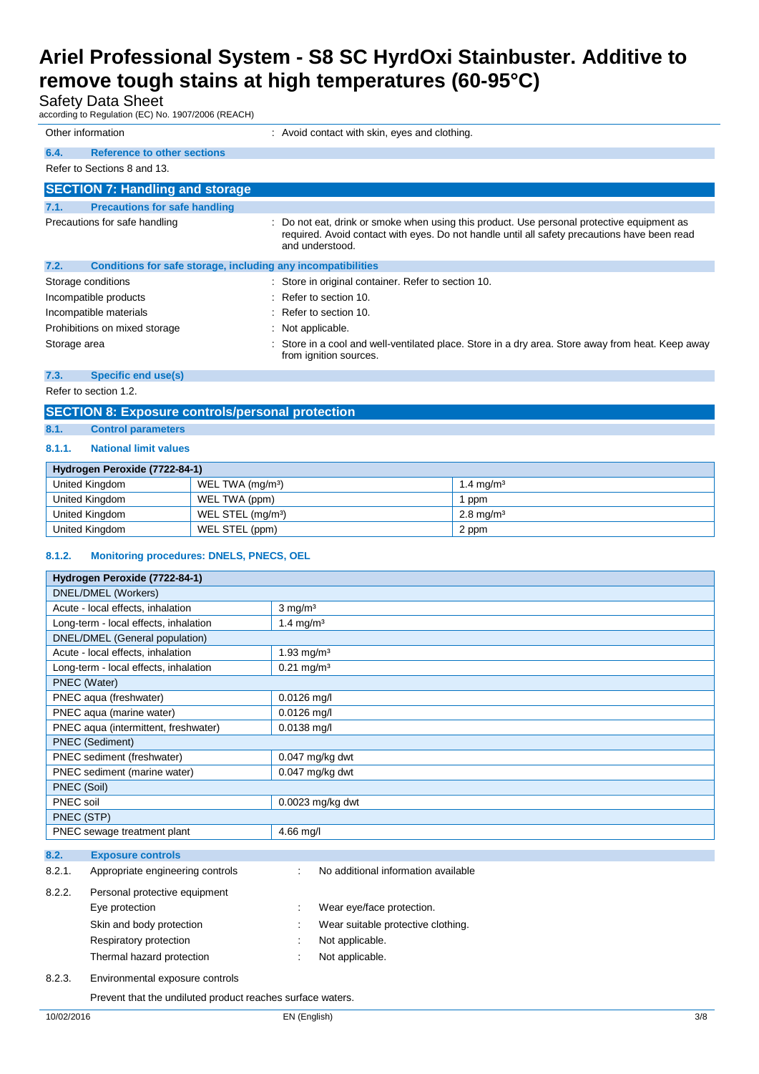## Safety Data Sheet

according to Regulation (EC) No. 1907/2006 (REACH)

| Other information |                                                              |    | : Avoid contact with skin, eyes and clothing.                                                                                                                                                               |
|-------------------|--------------------------------------------------------------|----|-------------------------------------------------------------------------------------------------------------------------------------------------------------------------------------------------------------|
| 6.4.              | <b>Reference to other sections</b>                           |    |                                                                                                                                                                                                             |
|                   | Refer to Sections 8 and 13.                                  |    |                                                                                                                                                                                                             |
|                   | <b>SECTION 7: Handling and storage</b>                       |    |                                                                                                                                                                                                             |
| 7.1.              | <b>Precautions for safe handling</b>                         |    |                                                                                                                                                                                                             |
|                   | Precautions for safe handling                                | ÷  | Do not eat, drink or smoke when using this product. Use personal protective equipment as<br>required. Avoid contact with eyes. Do not handle until all safety precautions have been read<br>and understood. |
| 7.2.              | Conditions for safe storage, including any incompatibilities |    |                                                                                                                                                                                                             |
|                   | Storage conditions                                           |    | : Store in original container. Refer to section 10.                                                                                                                                                         |
|                   | Incompatible products                                        |    | $\therefore$ Refer to section 10.                                                                                                                                                                           |
|                   | Incompatible materials                                       | ۰. | Refer to section 10.                                                                                                                                                                                        |
|                   | Prohibitions on mixed storage                                |    | Not applicable.                                                                                                                                                                                             |
| Storage area      |                                                              |    | Store in a cool and well-ventilated place. Store in a dry area. Store away from heat. Keep away<br>from ignition sources.                                                                                   |

#### **7.3. Specific end use(s)**

Refer to section 1.2.

### **SECTION 8: Exposure controls/personal protection**

**8.1. Control parameters**

#### **8.1.1. National limit values**

| Hydrogen Peroxide (7722-84-1) |                               |                         |  |  |
|-------------------------------|-------------------------------|-------------------------|--|--|
| United Kingdom                | WEL TWA (mg/m <sup>3</sup> )  | 1.4 mg/m <sup>3</sup>   |  |  |
| United Kingdom                | WEL TWA (ppm)                 | l ppm                   |  |  |
| United Kingdom                | WEL STEL (mg/m <sup>3</sup> ) | $2.8 \,\mathrm{mq/m^3}$ |  |  |
| United Kingdom                | WEL STEL (ppm)                | 2 ppm                   |  |  |

### **8.1.2. Monitoring procedures: DNELS, PNECS, OEL**

| Hydrogen Peroxide (7722-84-1)              |                                          |
|--------------------------------------------|------------------------------------------|
| DNEL/DMEL (Workers)                        |                                          |
| Acute - local effects, inhalation          | $3$ mg/m <sup>3</sup>                    |
| Long-term - local effects, inhalation      | 1.4 mg/m <sup>3</sup>                    |
| DNEL/DMEL (General population)             |                                          |
| Acute - local effects, inhalation          | 1.93 mg/m <sup>3</sup>                   |
| Long-term - local effects, inhalation      | $0.21 \text{ mg/m}^3$                    |
| PNEC (Water)                               |                                          |
| PNEC aqua (freshwater)                     | $0.0126$ mg/l                            |
| PNEC aqua (marine water)                   | $0.0126$ mg/l                            |
| PNEC aqua (intermittent, freshwater)       | $0.0138$ mg/l                            |
| <b>PNEC (Sediment)</b>                     |                                          |
| PNEC sediment (freshwater)                 | $0.047$ mg/kg dwt                        |
| PNEC sediment (marine water)               | $0.047$ mg/kg dwt                        |
| PNEC (Soil)                                |                                          |
| PNEC soil                                  | $0.0023$ mg/kg dwt                       |
| PNEC (STP)                                 |                                          |
| PNEC sewage treatment plant                | $4.66$ mg/l                              |
|                                            |                                          |
| 8.2.<br><b>Exposure controls</b>           |                                          |
| 8.2.1.<br>Appropriate engineering controls | No additional information available<br>÷ |

| 8.2.2. | Personal protective equipment |                                    |
|--------|-------------------------------|------------------------------------|
|        | Eye protection                | Wear eye/face protection.          |
|        | Skin and body protection      | Wear suitable protective clothing. |
|        | Respiratory protection        | Not applicable.                    |
|        | Thermal hazard protection     | Not applicable.                    |
|        |                               |                                    |

8.2.3. Environmental exposure controls

Prevent that the undiluted product reaches surface waters.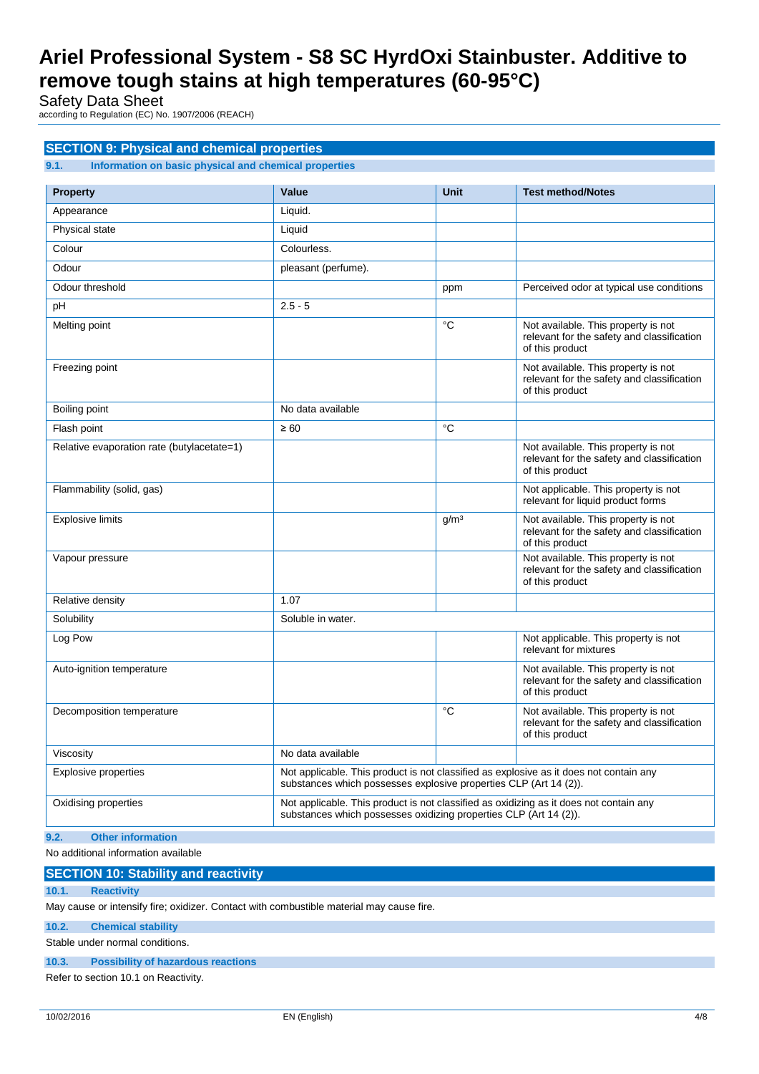Safety Data Sheet

according to Regulation (EC) No. 1907/2006 (REACH)

### **SECTION 9: Physical and chemical properties**

**9.1. Information on basic physical and chemical properties**

| <b>Property</b>                            | Value                                                                                                                                                       | <b>Unit</b>      | <b>Test method/Notes</b>                                                                             |
|--------------------------------------------|-------------------------------------------------------------------------------------------------------------------------------------------------------------|------------------|------------------------------------------------------------------------------------------------------|
| Appearance                                 | Liquid.                                                                                                                                                     |                  |                                                                                                      |
| Physical state                             | Liquid                                                                                                                                                      |                  |                                                                                                      |
| Colour                                     | Colourless.                                                                                                                                                 |                  |                                                                                                      |
| Odour                                      | pleasant (perfume).                                                                                                                                         |                  |                                                                                                      |
| Odour threshold                            |                                                                                                                                                             | ppm              | Perceived odor at typical use conditions                                                             |
| pH                                         | $2.5 - 5$                                                                                                                                                   |                  |                                                                                                      |
| Melting point                              |                                                                                                                                                             | °C               | Not available. This property is not<br>relevant for the safety and classification<br>of this product |
| Freezing point                             |                                                                                                                                                             |                  | Not available. This property is not<br>relevant for the safety and classification<br>of this product |
| Boiling point                              | No data available                                                                                                                                           |                  |                                                                                                      |
| Flash point                                | $\geq 60$                                                                                                                                                   | °C               |                                                                                                      |
| Relative evaporation rate (butylacetate=1) |                                                                                                                                                             |                  | Not available. This property is not<br>relevant for the safety and classification<br>of this product |
| Flammability (solid, gas)                  |                                                                                                                                                             |                  | Not applicable. This property is not<br>relevant for liquid product forms                            |
| <b>Explosive limits</b>                    |                                                                                                                                                             | g/m <sup>3</sup> | Not available. This property is not<br>relevant for the safety and classification<br>of this product |
| Vapour pressure                            |                                                                                                                                                             |                  | Not available. This property is not<br>relevant for the safety and classification<br>of this product |
| Relative density                           | 1.07                                                                                                                                                        |                  |                                                                                                      |
| Solubility                                 | Soluble in water.                                                                                                                                           |                  |                                                                                                      |
| Log Pow                                    |                                                                                                                                                             |                  | Not applicable. This property is not<br>relevant for mixtures                                        |
| Auto-ignition temperature                  |                                                                                                                                                             |                  | Not available. This property is not<br>relevant for the safety and classification<br>of this product |
| Decomposition temperature                  |                                                                                                                                                             | °C               | Not available. This property is not<br>relevant for the safety and classification<br>of this product |
| Viscosity                                  | No data available                                                                                                                                           |                  |                                                                                                      |
| <b>Explosive properties</b>                | Not applicable. This product is not classified as explosive as it does not contain any<br>substances which possesses explosive properties CLP (Art 14 (2)). |                  |                                                                                                      |
| Oxidising properties                       | Not applicable. This product is not classified as oxidizing as it does not contain any<br>substances which possesses oxidizing properties CLP (Art 14 (2)). |                  |                                                                                                      |
| 9.2.<br><b>Other information</b>           |                                                                                                                                                             |                  |                                                                                                      |

No additional information available

### **SECTION 10: Stability and reactivity**

## **10.1. Reactivity**

May cause or intensify fire; oxidizer. Contact with combustible material may cause fire.

#### **10.2. Chemical stability**

Stable under normal conditions.

### **10.3. Possibility of hazardous reactions**

Refer to section 10.1 on Reactivity.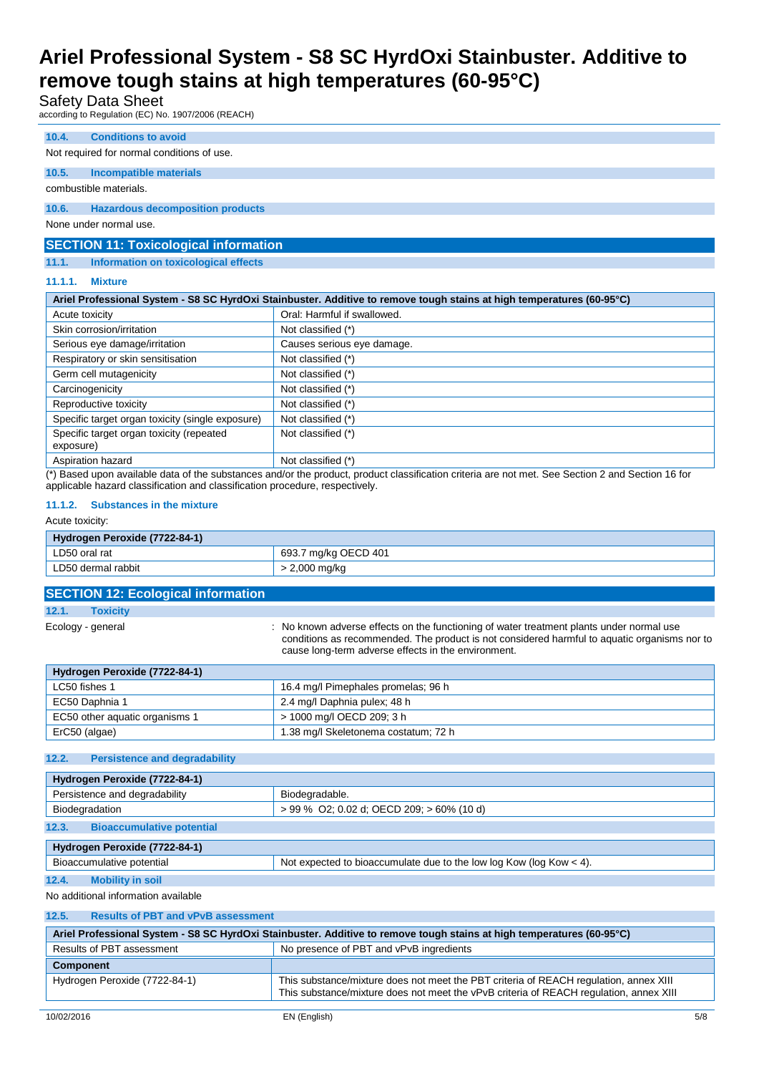### Safety Data Sheet

according to Regulation (EC) No. 1907/2006 (REACH)

#### **10.4. Conditions to avoid**

#### Not required for normal conditions of use.

**10.5. Incompatible materials**

## combustible materials.

#### **10.6. Hazardous decomposition products**

None under normal use.

### **SECTION 11: Toxicological information**

#### **11.1. Information on toxicological effects**

#### **11.1.1. Mixture**

| Ariel Professional System - S8 SC HyrdOxi Stainbuster. Additive to remove tough stains at high temperatures (60-95°C) |                                                                                                      |  |
|-----------------------------------------------------------------------------------------------------------------------|------------------------------------------------------------------------------------------------------|--|
| Acute toxicity                                                                                                        | Oral: Harmful if swallowed.                                                                          |  |
| Skin corrosion/irritation                                                                                             | Not classified (*)                                                                                   |  |
| Serious eye damage/irritation                                                                                         | Causes serious eye damage.                                                                           |  |
| Respiratory or skin sensitisation                                                                                     | Not classified (*)                                                                                   |  |
| Germ cell mutagenicity                                                                                                | Not classified (*)                                                                                   |  |
| Carcinogenicity                                                                                                       | Not classified (*)                                                                                   |  |
| Reproductive toxicity                                                                                                 | Not classified (*)                                                                                   |  |
| Specific target organ toxicity (single exposure)                                                                      | Not classified (*)                                                                                   |  |
| Specific target organ toxicity (repeated<br>exposure)                                                                 | Not classified (*)                                                                                   |  |
| Aspiration hazard<br>.                                                                                                | Not classified (*)<br>$-2.41$ $-2.1$<br>.<br>$\cdot$ $\cdot$ $\cdot$ $\cdot$<br>$\sim$ $\sim$ $\sim$ |  |

(\*) Based upon available data of the substances and/or the product, product classification criteria are not met. See Section 2 and Section 16 for applicable hazard classification and classification procedure, respectively.

#### **11.1.2. Substances in the mixture**

#### Acute toxicity:

| <b>Hydrogen Peroxide (7722-84-1)</b> |                           |  |
|--------------------------------------|---------------------------|--|
| LD50 oral rat                        | ' mg/kg OECD 401<br>693.7 |  |
| LD50 dermal rabbit                   | ∠,000 mg/kg               |  |

| <b>SECTION 12: Ecological information</b>     |                                                                                                                                                                                                                                                 |  |
|-----------------------------------------------|-------------------------------------------------------------------------------------------------------------------------------------------------------------------------------------------------------------------------------------------------|--|
| 12.1.<br><b>Toxicity</b>                      |                                                                                                                                                                                                                                                 |  |
| Ecology - general                             | : No known adverse effects on the functioning of water treatment plants under normal use<br>conditions as recommended. The product is not considered harmful to aquatic organisms nor to<br>cause long-term adverse effects in the environment. |  |
| Hydrogen Peroxide (7722-84-1)                 |                                                                                                                                                                                                                                                 |  |
| LC50 fishes 1                                 | 16.4 mg/l Pimephales promelas; 96 h                                                                                                                                                                                                             |  |
| EC50 Daphnia 1                                | 2.4 mg/l Daphnia pulex; 48 h                                                                                                                                                                                                                    |  |
| EC50 other aquatic organisms 1                | > 1000 mg/l OECD 209; 3 h                                                                                                                                                                                                                       |  |
| ErC50 (algae)                                 | 1.38 mg/l Skeletonema costatum; 72 h                                                                                                                                                                                                            |  |
|                                               |                                                                                                                                                                                                                                                 |  |
| 12.2.<br><b>Persistence and degradability</b> |                                                                                                                                                                                                                                                 |  |
|                                               |                                                                                                                                                                                                                                                 |  |

| Hydrogen Peroxide (7722-84-1)             |                                                                         |  |  |
|-------------------------------------------|-------------------------------------------------------------------------|--|--|
| Persistence and degradability             | Biodegradable.                                                          |  |  |
| Biodegradation                            | $> 99\%$ O2; 0.02 d; OECD 209; $> 60\%$ (10 d)                          |  |  |
| 12.3.<br><b>Bioaccumulative potential</b> |                                                                         |  |  |
| Hydrogen Peroxide (7722-84-1)             |                                                                         |  |  |
| Bioaccumulative potential                 | Not expected to bioaccumulate due to the low log Kow ( $log Kow < 4$ ). |  |  |

### **12.4. Mobility in soil**

No additional information available

| 12.5.<br><b>Results of PBT and vPvB assessment</b>                                                                    |                                                                                                                                                                                 |  |  |  |  |
|-----------------------------------------------------------------------------------------------------------------------|---------------------------------------------------------------------------------------------------------------------------------------------------------------------------------|--|--|--|--|
| Ariel Professional System - S8 SC HyrdOxi Stainbuster. Additive to remove tough stains at high temperatures (60-95°C) |                                                                                                                                                                                 |  |  |  |  |
| Results of PBT assessment                                                                                             | No presence of PBT and vPvB ingredients                                                                                                                                         |  |  |  |  |
| <b>Component</b>                                                                                                      |                                                                                                                                                                                 |  |  |  |  |
| Hydrogen Peroxide (7722-84-1)                                                                                         | This substance/mixture does not meet the PBT criteria of REACH regulation, annex XIII<br>This substance/mixture does not meet the vPvB criteria of REACH regulation, annex XIII |  |  |  |  |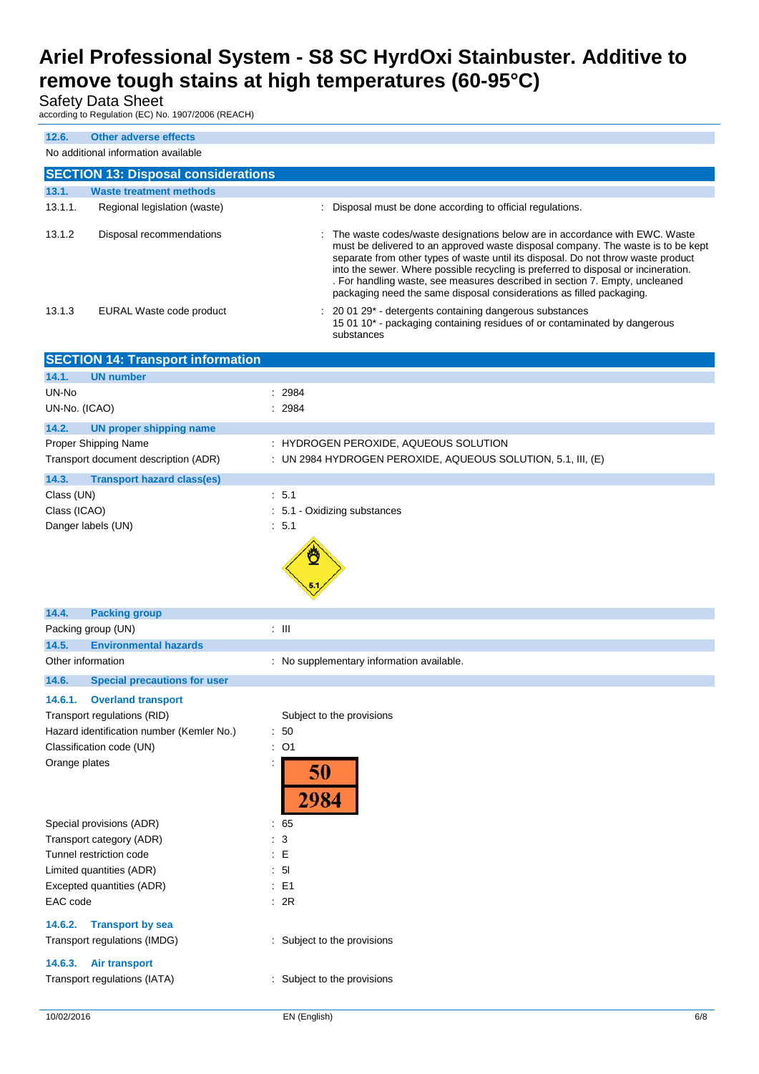## Safety Data Sheet

according to Regulation (EC) No. 1907/2006 (REACH)

| 12.6.                                                                                                 | <b>Other adverse effects</b>                                   |                                                                                                                                                                                                                                                                                                                                                                                                                                                                                                    |  |  |  |
|-------------------------------------------------------------------------------------------------------|----------------------------------------------------------------|----------------------------------------------------------------------------------------------------------------------------------------------------------------------------------------------------------------------------------------------------------------------------------------------------------------------------------------------------------------------------------------------------------------------------------------------------------------------------------------------------|--|--|--|
| No additional information available                                                                   |                                                                |                                                                                                                                                                                                                                                                                                                                                                                                                                                                                                    |  |  |  |
|                                                                                                       | <b>SECTION 13: Disposal considerations</b>                     |                                                                                                                                                                                                                                                                                                                                                                                                                                                                                                    |  |  |  |
| 13.1.<br>13.1.1.                                                                                      | <b>Waste treatment methods</b><br>Regional legislation (waste) | : Disposal must be done according to official regulations.                                                                                                                                                                                                                                                                                                                                                                                                                                         |  |  |  |
|                                                                                                       |                                                                |                                                                                                                                                                                                                                                                                                                                                                                                                                                                                                    |  |  |  |
| 13.1.2                                                                                                | Disposal recommendations                                       | : The waste codes/waste designations below are in accordance with EWC. Waste<br>must be delivered to an approved waste disposal company. The waste is to be kept<br>separate from other types of waste until its disposal. Do not throw waste product<br>into the sewer. Where possible recycling is preferred to disposal or incineration.<br>. For handling waste, see measures described in section 7. Empty, uncleaned<br>packaging need the same disposal considerations as filled packaging. |  |  |  |
| 13.1.3                                                                                                | EURAL Waste code product                                       | 20 01 29* - detergents containing dangerous substances<br>15 01 10* - packaging containing residues of or contaminated by dangerous<br>substances                                                                                                                                                                                                                                                                                                                                                  |  |  |  |
|                                                                                                       | <b>SECTION 14: Transport information</b>                       |                                                                                                                                                                                                                                                                                                                                                                                                                                                                                                    |  |  |  |
| 14.1.                                                                                                 | <b>UN number</b>                                               |                                                                                                                                                                                                                                                                                                                                                                                                                                                                                                    |  |  |  |
| UN-No<br>UN-No. (ICAO)                                                                                |                                                                | 2984<br>2984                                                                                                                                                                                                                                                                                                                                                                                                                                                                                       |  |  |  |
| 14.2.                                                                                                 | <b>UN proper shipping name</b>                                 |                                                                                                                                                                                                                                                                                                                                                                                                                                                                                                    |  |  |  |
|                                                                                                       | Proper Shipping Name                                           | : HYDROGEN PEROXIDE, AQUEOUS SOLUTION                                                                                                                                                                                                                                                                                                                                                                                                                                                              |  |  |  |
|                                                                                                       | Transport document description (ADR)                           | : UN 2984 HYDROGEN PEROXIDE, AQUEOUS SOLUTION, 5.1, III, (E)                                                                                                                                                                                                                                                                                                                                                                                                                                       |  |  |  |
| 14.3.                                                                                                 | <b>Transport hazard class(es)</b>                              |                                                                                                                                                                                                                                                                                                                                                                                                                                                                                                    |  |  |  |
| Class (UN)                                                                                            |                                                                | : 5.1                                                                                                                                                                                                                                                                                                                                                                                                                                                                                              |  |  |  |
| Class (ICAO)                                                                                          |                                                                | : 5.1 - Oxidizing substances                                                                                                                                                                                                                                                                                                                                                                                                                                                                       |  |  |  |
| Danger labels (UN)                                                                                    |                                                                | : 5.1                                                                                                                                                                                                                                                                                                                                                                                                                                                                                              |  |  |  |
|                                                                                                       |                                                                |                                                                                                                                                                                                                                                                                                                                                                                                                                                                                                    |  |  |  |
| 14.4.                                                                                                 | <b>Packing group</b>                                           |                                                                                                                                                                                                                                                                                                                                                                                                                                                                                                    |  |  |  |
| Packing group (UN)                                                                                    |                                                                | $\pm$ III                                                                                                                                                                                                                                                                                                                                                                                                                                                                                          |  |  |  |
| 14.5.<br>Other information                                                                            | <b>Environmental hazards</b>                                   | : No supplementary information available.                                                                                                                                                                                                                                                                                                                                                                                                                                                          |  |  |  |
| 14.6.                                                                                                 | <b>Special precautions for user</b>                            |                                                                                                                                                                                                                                                                                                                                                                                                                                                                                                    |  |  |  |
|                                                                                                       |                                                                |                                                                                                                                                                                                                                                                                                                                                                                                                                                                                                    |  |  |  |
| 14.6.1.                                                                                               | <b>Overland transport</b>                                      |                                                                                                                                                                                                                                                                                                                                                                                                                                                                                                    |  |  |  |
| Transport regulations (RID)<br>Subject to the provisions<br>Hazard identification number (Kemler No.) |                                                                | : 50                                                                                                                                                                                                                                                                                                                                                                                                                                                                                               |  |  |  |
|                                                                                                       | Classification code (UN)                                       | $:$ O1                                                                                                                                                                                                                                                                                                                                                                                                                                                                                             |  |  |  |
| Orange plates                                                                                         |                                                                | 50<br>2984                                                                                                                                                                                                                                                                                                                                                                                                                                                                                         |  |  |  |
| Special provisions (ADR)                                                                              |                                                                | $\therefore 65$                                                                                                                                                                                                                                                                                                                                                                                                                                                                                    |  |  |  |
| Transport category (ADR)                                                                              |                                                                | 3                                                                                                                                                                                                                                                                                                                                                                                                                                                                                                  |  |  |  |
| Tunnel restriction code<br>$\div$ E<br>: 51<br>Limited quantities (ADR)                               |                                                                |                                                                                                                                                                                                                                                                                                                                                                                                                                                                                                    |  |  |  |
| Excepted quantities (ADR)                                                                             |                                                                | : E1                                                                                                                                                                                                                                                                                                                                                                                                                                                                                               |  |  |  |
| EAC code                                                                                              | : 2R                                                           |                                                                                                                                                                                                                                                                                                                                                                                                                                                                                                    |  |  |  |
| 14.6.2.                                                                                               | <b>Transport by sea</b><br>Transport regulations (IMDG)        | : Subject to the provisions                                                                                                                                                                                                                                                                                                                                                                                                                                                                        |  |  |  |
| 14.6.3.                                                                                               | <b>Air transport</b>                                           |                                                                                                                                                                                                                                                                                                                                                                                                                                                                                                    |  |  |  |
|                                                                                                       | Transport regulations (IATA)                                   | : Subject to the provisions                                                                                                                                                                                                                                                                                                                                                                                                                                                                        |  |  |  |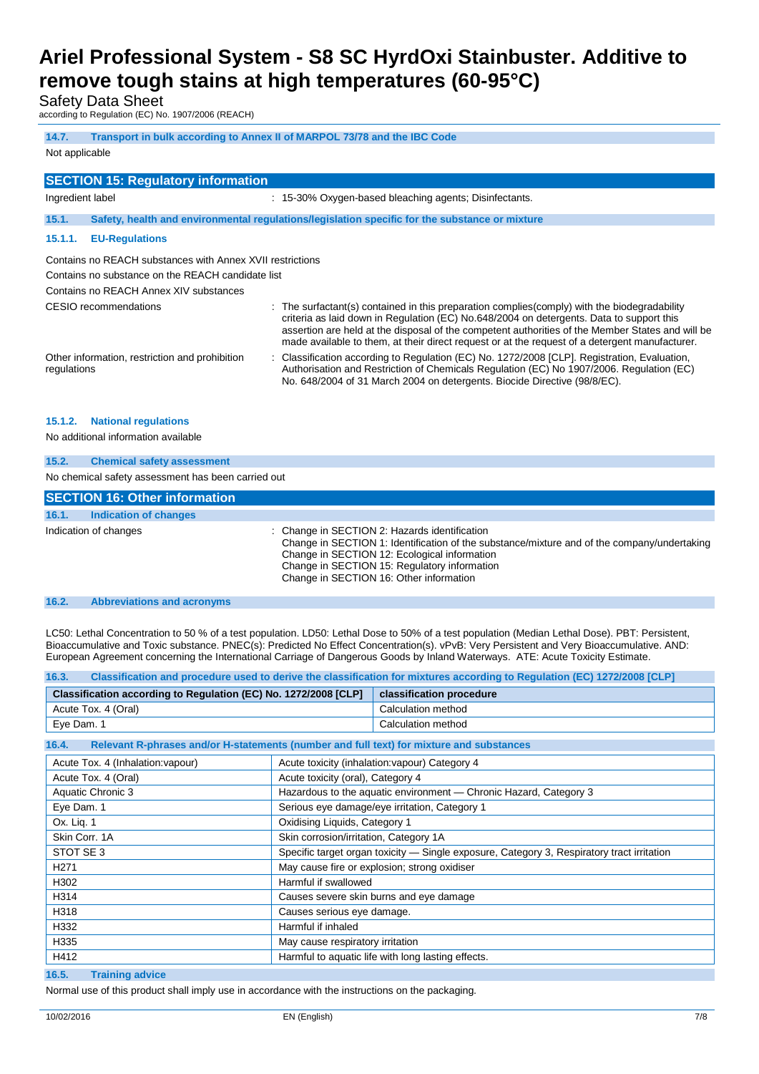Safety Data Sheet

according to Regulation (EC) No. 1907/2006 (REACH)

| 14.7.<br>Transport in bulk according to Annex II of MARPOL 73/78 and the IBC Code                       |                                                                                                                                                                                                                                                                                                                                                                                                |  |  |  |  |  |
|---------------------------------------------------------------------------------------------------------|------------------------------------------------------------------------------------------------------------------------------------------------------------------------------------------------------------------------------------------------------------------------------------------------------------------------------------------------------------------------------------------------|--|--|--|--|--|
| Not applicable                                                                                          |                                                                                                                                                                                                                                                                                                                                                                                                |  |  |  |  |  |
| <b>SECTION 15: Regulatory information</b>                                                               |                                                                                                                                                                                                                                                                                                                                                                                                |  |  |  |  |  |
| Ingredient label                                                                                        | : 15-30% Oxygen-based bleaching agents; Disinfectants.                                                                                                                                                                                                                                                                                                                                         |  |  |  |  |  |
| 15.1.<br>Safety, health and environmental regulations/legislation specific for the substance or mixture |                                                                                                                                                                                                                                                                                                                                                                                                |  |  |  |  |  |
| 15.1.1.<br><b>EU-Regulations</b>                                                                        |                                                                                                                                                                                                                                                                                                                                                                                                |  |  |  |  |  |
| Contains no REACH substances with Annex XVII restrictions                                               |                                                                                                                                                                                                                                                                                                                                                                                                |  |  |  |  |  |
| Contains no substance on the REACH candidate list                                                       |                                                                                                                                                                                                                                                                                                                                                                                                |  |  |  |  |  |
| Contains no REACH Annex XIV substances                                                                  |                                                                                                                                                                                                                                                                                                                                                                                                |  |  |  |  |  |
| CESIO recommendations                                                                                   | : The surfactant(s) contained in this preparation complies(comply) with the biodegradability<br>criteria as laid down in Regulation (EC) No.648/2004 on detergents. Data to support this<br>assertion are held at the disposal of the competent authorities of the Member States and will be<br>made available to them, at their direct request or at the request of a detergent manufacturer. |  |  |  |  |  |
| Other information, restriction and prohibition<br>regulations                                           | : Classification according to Regulation (EC) No. 1272/2008 [CLP]. Registration, Evaluation,<br>Authorisation and Restriction of Chemicals Regulation (EC) No 1907/2006. Regulation (EC)<br>No. 648/2004 of 31 March 2004 on detergents. Biocide Directive (98/8/EC).                                                                                                                          |  |  |  |  |  |
| 15.1.2.<br><b>National regulations</b><br>No additional information available                           |                                                                                                                                                                                                                                                                                                                                                                                                |  |  |  |  |  |
| 15.2.<br><b>Chemical safety assessment</b>                                                              |                                                                                                                                                                                                                                                                                                                                                                                                |  |  |  |  |  |

No chemical safety assessment has been carried out

| <b>SECTION 16: Other information</b> |                                                                                                                                                                                                                                                                                         |
|--------------------------------------|-----------------------------------------------------------------------------------------------------------------------------------------------------------------------------------------------------------------------------------------------------------------------------------------|
| 16.1.<br>Indication of changes       |                                                                                                                                                                                                                                                                                         |
| Indication of changes                | : Change in SECTION 2: Hazards identification<br>Change in SECTION 1: Identification of the substance/mixture and of the company/undertaking<br>Change in SECTION 12: Ecological information<br>Change in SECTION 15: Regulatory information<br>Change in SECTION 16: Other information |

#### **16.2. Abbreviations and acronyms**

LC50: Lethal Concentration to 50 % of a test population. LD50: Lethal Dose to 50% of a test population (Median Lethal Dose). PBT: Persistent, Bioaccumulative and Toxic substance. PNEC(s): Predicted No Effect Concentration(s). vPvB: Very Persistent and Very Bioaccumulative. AND: European Agreement concerning the International Carriage of Dangerous Goods by Inland Waterways. ATE: Acute Toxicity Estimate.

| Classification and procedure used to derive the classification for mixtures according to Regulation (EC) 1272/2008 [CLP]<br>16.3. |                                                                                            |                                                |  |  |
|-----------------------------------------------------------------------------------------------------------------------------------|--------------------------------------------------------------------------------------------|------------------------------------------------|--|--|
| Classification according to Regulation (EC) No. 1272/2008 [CLP]                                                                   |                                                                                            | classification procedure                       |  |  |
| Acute Tox. 4 (Oral)                                                                                                               |                                                                                            | Calculation method                             |  |  |
| Eye Dam. 1                                                                                                                        |                                                                                            | Calculation method                             |  |  |
| Relevant R-phrases and/or H-statements (number and full text) for mixture and substances<br>16.4.                                 |                                                                                            |                                                |  |  |
| Acute Tox. 4 (Inhalation: vapour)                                                                                                 |                                                                                            | Acute toxicity (inhalation: vapour) Category 4 |  |  |
| Acute Tox. 4 (Oral)                                                                                                               | Acute toxicity (oral), Category 4                                                          |                                                |  |  |
| Aquatic Chronic 3                                                                                                                 | Hazardous to the aquatic environment - Chronic Hazard, Category 3                          |                                                |  |  |
| Eye Dam. 1                                                                                                                        | Serious eye damage/eye irritation, Category 1                                              |                                                |  |  |
| Ox. Lig. 1                                                                                                                        | Oxidising Liquids, Category 1                                                              |                                                |  |  |
| Skin Corr, 1A                                                                                                                     | Skin corrosion/irritation, Category 1A                                                     |                                                |  |  |
| STOT SE 3                                                                                                                         | Specific target organ toxicity — Single exposure, Category 3, Respiratory tract irritation |                                                |  |  |
| H <sub>271</sub>                                                                                                                  | May cause fire or explosion; strong oxidiser                                               |                                                |  |  |
| H302                                                                                                                              | Harmful if swallowed                                                                       |                                                |  |  |
| H314                                                                                                                              | Causes severe skin burns and eye damage                                                    |                                                |  |  |
| H318                                                                                                                              | Causes serious eye damage.                                                                 |                                                |  |  |
| H332                                                                                                                              | Harmful if inhaled                                                                         |                                                |  |  |
| H335                                                                                                                              | May cause respiratory irritation                                                           |                                                |  |  |
| H412                                                                                                                              | Harmful to aquatic life with long lasting effects.                                         |                                                |  |  |
| $\sim$ $\sim$ $\sim$                                                                                                              |                                                                                            |                                                |  |  |

#### **16.5. Training advice**

Normal use of this product shall imply use in accordance with the instructions on the packaging.